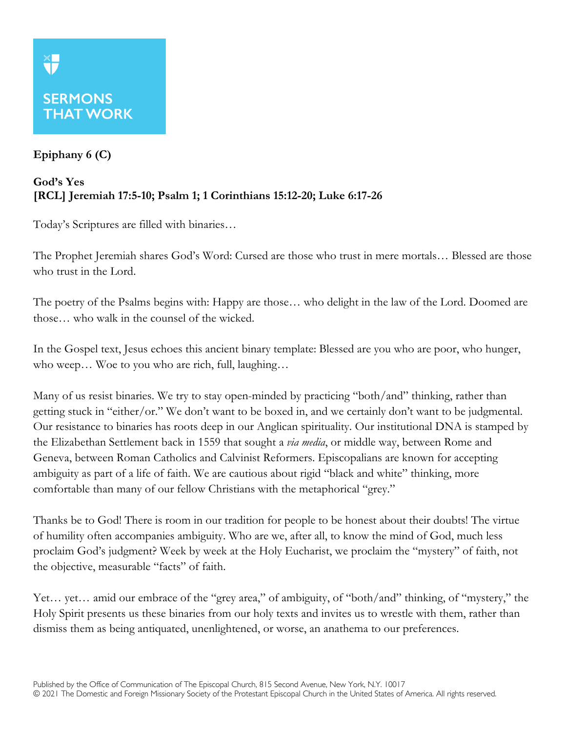## **SERMONS THAT WORK**

## **Epiphany 6 (C)**

## **God's Yes [RCL] Jeremiah 17:5-10; Psalm 1; 1 Corinthians 15:12-20; Luke 6:17-26**

Today's Scriptures are filled with binaries…

The Prophet Jeremiah shares God's Word: Cursed are those who trust in mere mortals… Blessed are those who trust in the Lord.

The poetry of the Psalms begins with: Happy are those… who delight in the law of the Lord. Doomed are those… who walk in the counsel of the wicked.

In the Gospel text, Jesus echoes this ancient binary template: Blessed are you who are poor, who hunger, who weep… Woe to you who are rich, full, laughing…

Many of us resist binaries. We try to stay open-minded by practicing "both/and" thinking, rather than getting stuck in "either/or." We don't want to be boxed in, and we certainly don't want to be judgmental. Our resistance to binaries has roots deep in our Anglican spirituality. Our institutional DNA is stamped by the Elizabethan Settlement back in 1559 that sought a *via media*, or middle way, between Rome and Geneva, between Roman Catholics and Calvinist Reformers. Episcopalians are known for accepting ambiguity as part of a life of faith. We are cautious about rigid "black and white" thinking, more comfortable than many of our fellow Christians with the metaphorical "grey."

Thanks be to God! There is room in our tradition for people to be honest about their doubts! The virtue of humility often accompanies ambiguity. Who are we, after all, to know the mind of God, much less proclaim God's judgment? Week by week at the Holy Eucharist, we proclaim the "mystery" of faith, not the objective, measurable "facts" of faith.

Yet… yet… amid our embrace of the "grey area," of ambiguity, of "both/and" thinking, of "mystery," the Holy Spirit presents us these binaries from our holy texts and invites us to wrestle with them, rather than dismiss them as being antiquated, unenlightened, or worse, an anathema to our preferences.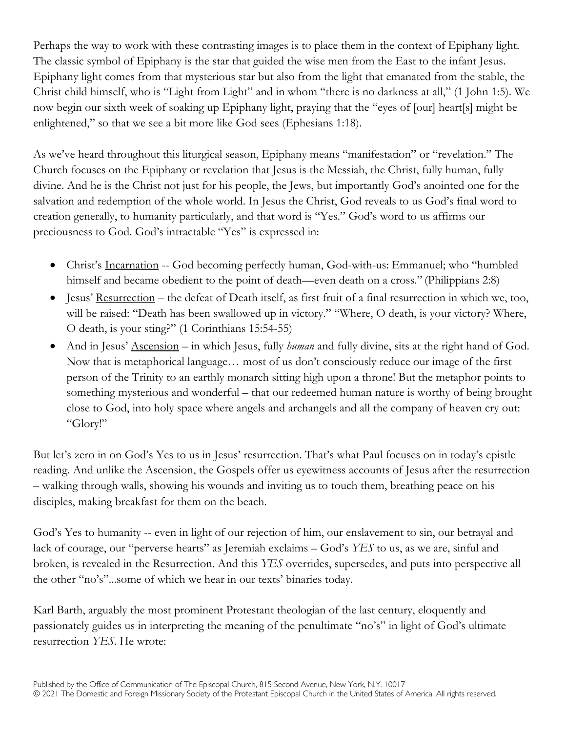Perhaps the way to work with these contrasting images is to place them in the context of Epiphany light. The classic symbol of Epiphany is the star that guided the wise men from the East to the infant Jesus. Epiphany light comes from that mysterious star but also from the light that emanated from the stable, the Christ child himself, who is "Light from Light" and in whom "there is no darkness at all," (1 John 1:5). We now begin our sixth week of soaking up Epiphany light, praying that the "eyes of [our] heart[s] might be enlightened," so that we see a bit more like God sees (Ephesians 1:18).

As we've heard throughout this liturgical season, Epiphany means "manifestation" or "revelation." The Church focuses on the Epiphany or revelation that Jesus is the Messiah, the Christ, fully human, fully divine. And he is the Christ not just for his people, the Jews, but importantly God's anointed one for the salvation and redemption of the whole world. In Jesus the Christ, God reveals to us God's final word to creation generally, to humanity particularly, and that word is "Yes." God's word to us affirms our preciousness to God. God's intractable "Yes" is expressed in:

- Christ's Incarnation -- God becoming perfectly human, God-with-us: Emmanuel; who "humbled himself and became obedient to the point of death—even death on a cross." (Philippians 2:8)
- Jesus' Resurrection the defeat of Death itself, as first fruit of a final resurrection in which we, too, will be raised: "Death has been swallowed up in victory." "Where, O death, is your victory? Where, O death, is your sting?" (1 Corinthians 15:54-55)
- And in Jesus' Ascension in which Jesus, fully *human* and fully divine, sits at the right hand of God. Now that is metaphorical language… most of us don't consciously reduce our image of the first person of the Trinity to an earthly monarch sitting high upon a throne! But the metaphor points to something mysterious and wonderful – that our redeemed human nature is worthy of being brought close to God, into holy space where angels and archangels and all the company of heaven cry out: "Glory!"

But let's zero in on God's Yes to us in Jesus' resurrection. That's what Paul focuses on in today's epistle reading. And unlike the Ascension, the Gospels offer us eyewitness accounts of Jesus after the resurrection – walking through walls, showing his wounds and inviting us to touch them, breathing peace on his disciples, making breakfast for them on the beach.

God's Yes to humanity -- even in light of our rejection of him, our enslavement to sin, our betrayal and lack of courage, our "perverse hearts" as Jeremiah exclaims – God's *YES* to us, as we are, sinful and broken, is revealed in the Resurrection. And this *YES* overrides, supersedes, and puts into perspective all the other "no's"...some of which we hear in our texts' binaries today.

Karl Barth, arguably the most prominent Protestant theologian of the last century, eloquently and passionately guides us in interpreting the meaning of the penultimate "no's" in light of God's ultimate resurrection *YES*. He wrote: